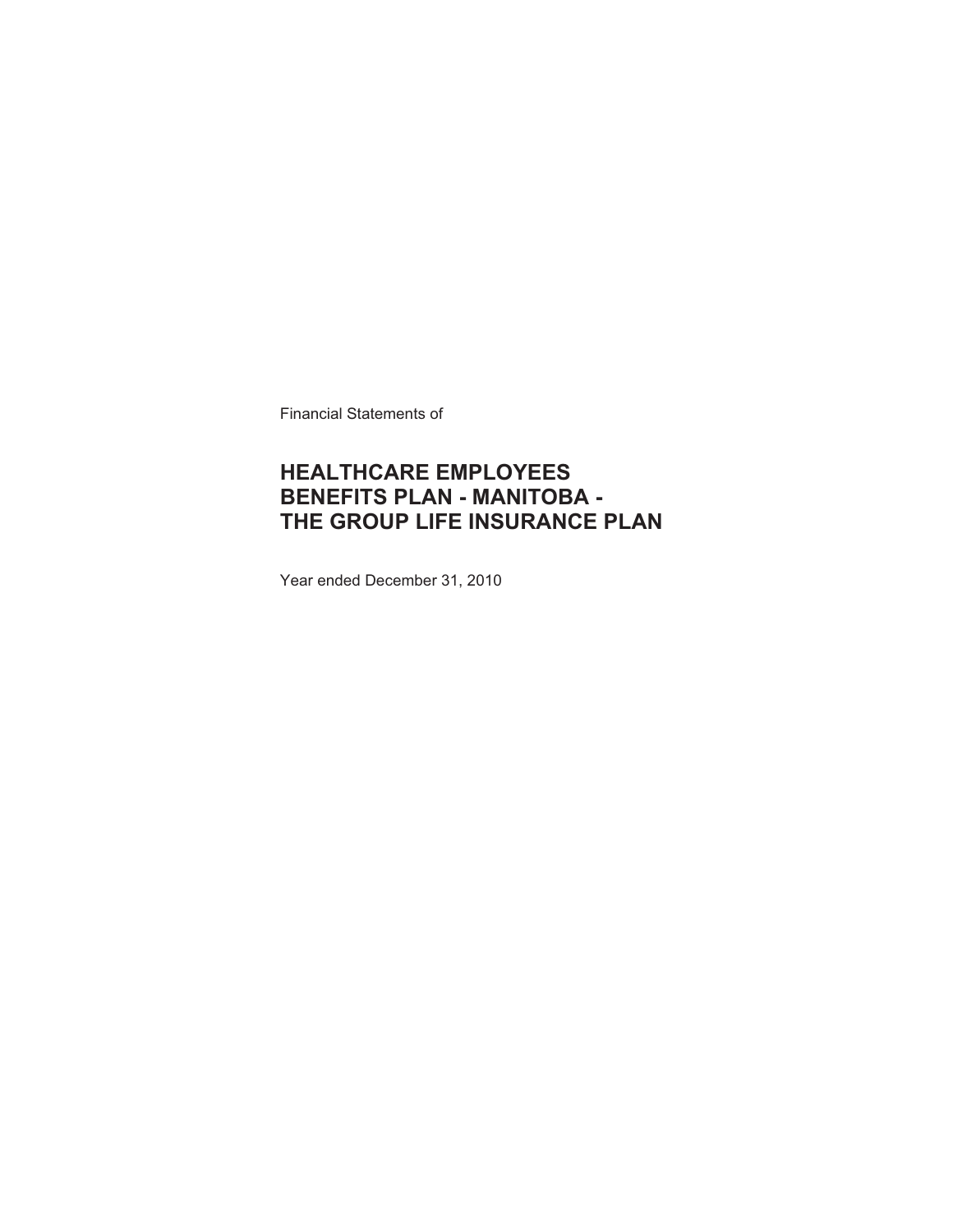Financial Statements of

### **HEALTHCARE EMPLOYEES BENEFITS PLAN - MANITOBA - THE GROUP LIFE INSURANCE PLAN**

Year ended December 31, 2010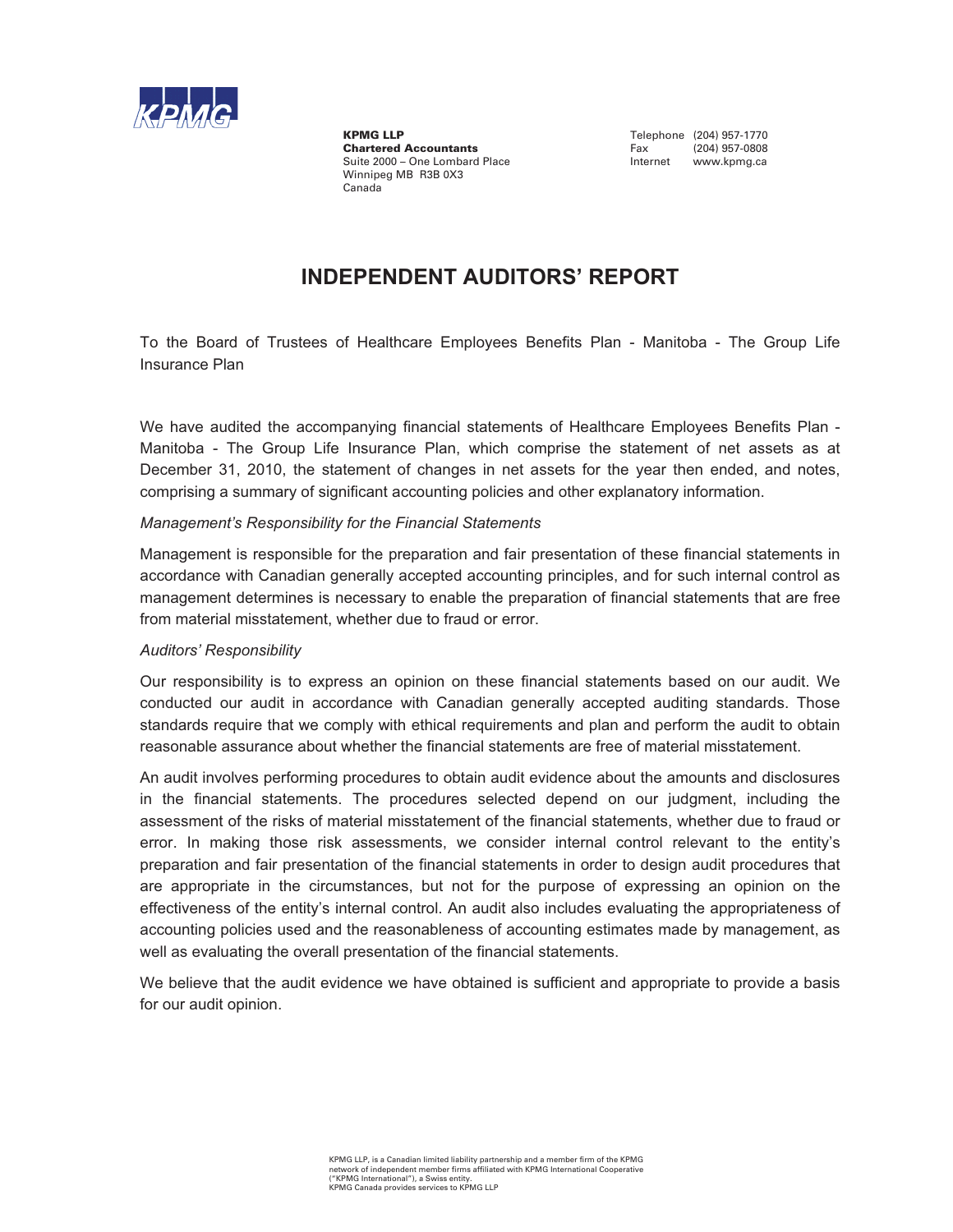

**KPMG LLP**<br> **Chartered Accountants**<br> **Chartered Accountants**<br>
Tax (204) 957-0808 **Chartered Accountants**<br>Suite 2000 - One Lombard Place Winnipeg MB R3B 0X3 Canada

Internet www.kpmg.ca

### **INDEPENDENT AUDITORS' REPORT**

To the Board of Trustees of Healthcare Employees Benefits Plan - Manitoba - The Group Life Insurance Plan

We have audited the accompanying financial statements of Healthcare Employees Benefits Plan - Manitoba - The Group Life Insurance Plan, which comprise the statement of net assets as at December 31, 2010, the statement of changes in net assets for the year then ended, and notes, comprising a summary of significant accounting policies and other explanatory information.

#### *Management's Responsibility for the Financial Statements*

Management is responsible for the preparation and fair presentation of these financial statements in accordance with Canadian generally accepted accounting principles, and for such internal control as management determines is necessary to enable the preparation of financial statements that are free from material misstatement, whether due to fraud or error.

#### *Auditors' Responsibility*

Our responsibility is to express an opinion on these financial statements based on our audit. We conducted our audit in accordance with Canadian generally accepted auditing standards. Those standards require that we comply with ethical requirements and plan and perform the audit to obtain reasonable assurance about whether the financial statements are free of material misstatement.

An audit involves performing procedures to obtain audit evidence about the amounts and disclosures in the financial statements. The procedures selected depend on our judgment, including the assessment of the risks of material misstatement of the financial statements, whether due to fraud or error. In making those risk assessments, we consider internal control relevant to the entity's preparation and fair presentation of the financial statements in order to design audit procedures that are appropriate in the circumstances, but not for the purpose of expressing an opinion on the effectiveness of the entity's internal control. An audit also includes evaluating the appropriateness of accounting policies used and the reasonableness of accounting estimates made by management, as well as evaluating the overall presentation of the financial statements.

We believe that the audit evidence we have obtained is sufficient and appropriate to provide a basis for our audit opinion.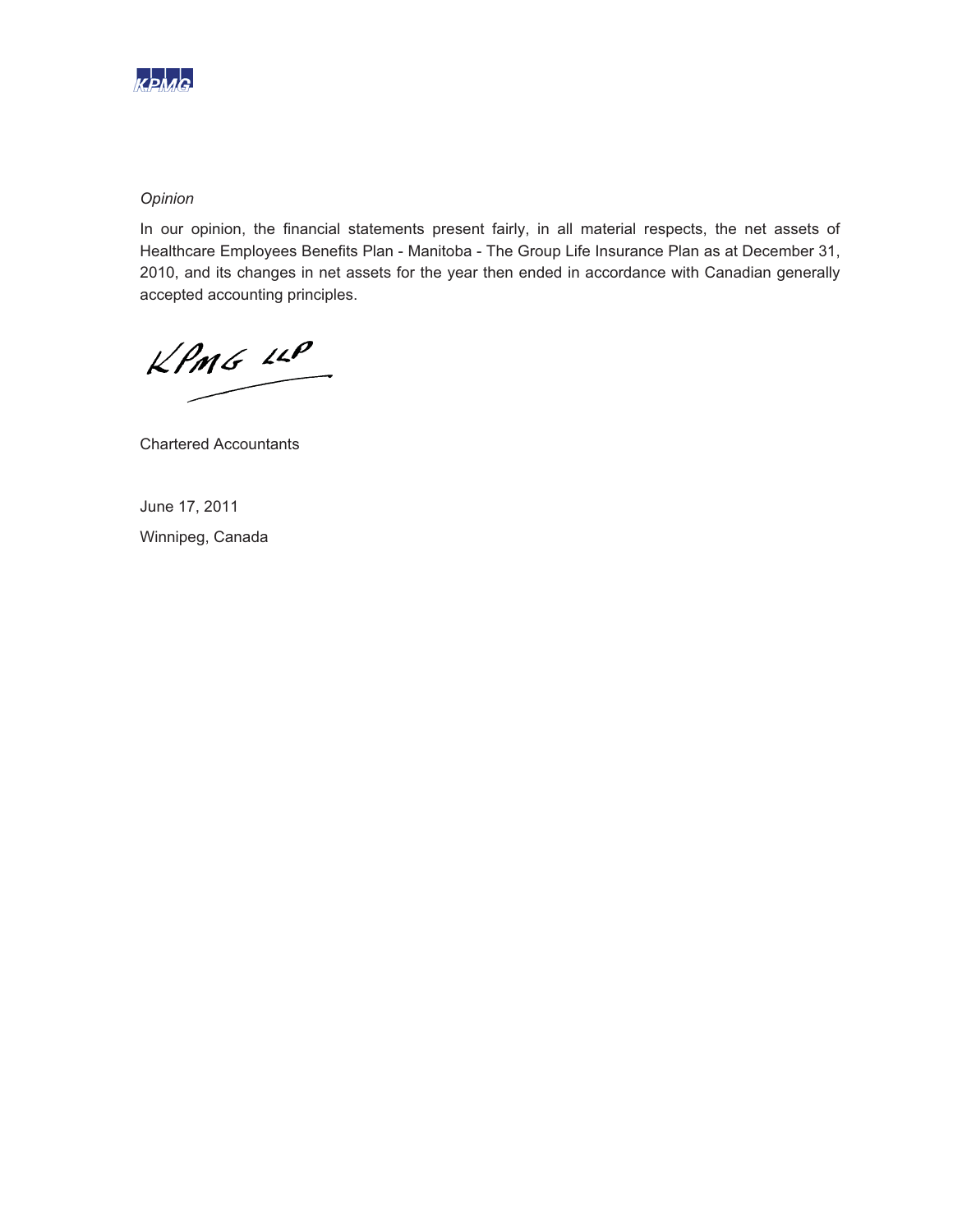

#### *Opinion*

In our opinion, the financial statements present fairly, in all material respects, the net assets of Healthcare Employees Benefits Plan - Manitoba - The Group Life Insurance Plan as at December 31, 2010, and its changes in net assets for the year then ended in accordance with Canadian generally accepted accounting principles.

KPMG LLP

Chartered Accountants

June 17, 2011 Winnipeg, Canada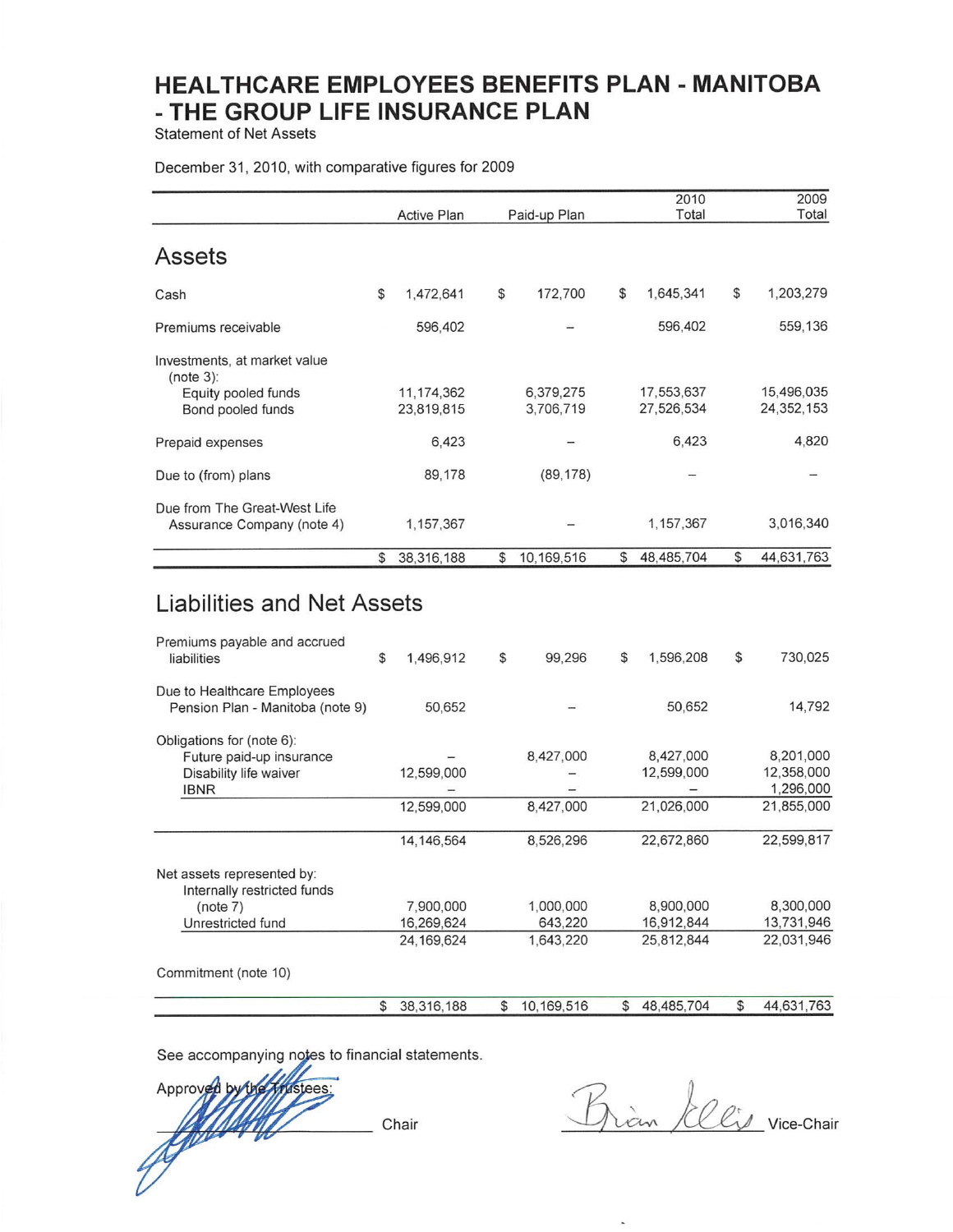**Statement of Net Assets** 

December 31, 2010, with comparative figures for 2009

|                                                                                          |    | <b>Active Plan</b>         | Paid-up Plan           | 2010<br>Total            | 2009<br>Total              |
|------------------------------------------------------------------------------------------|----|----------------------------|------------------------|--------------------------|----------------------------|
| Assets                                                                                   |    |                            |                        |                          |                            |
| Cash                                                                                     | \$ | 1,472,641                  | \$<br>172,700          | \$<br>1,645,341          | \$<br>1,203,279            |
| Premiums receivable                                                                      |    | 596,402                    |                        | 596,402                  | 559,136                    |
| Investments, at market value<br>$(note 3)$ :<br>Equity pooled funds<br>Bond pooled funds |    | 11, 174, 362<br>23,819,815 | 6,379,275<br>3,706,719 | 17,553,637<br>27,526,534 | 15,496,035<br>24, 352, 153 |
| Prepaid expenses                                                                         |    | 6.423                      |                        | 6,423                    | 4,820                      |
| Due to (from) plans                                                                      |    | 89,178                     | (89, 178)              |                          |                            |
| Due from The Great-West Life<br>Assurance Company (note 4)                               |    | 1, 157, 367                |                        | 1, 157, 367              | 3,016,340                  |
|                                                                                          | S  | 38,316,188                 | \$<br>10,169,516       | \$<br>48,485,704         | \$<br>44,631,763           |

## **Liabilities and Net Assets**

| Premiums payable and accrued<br>liabilities                     | \$<br>1.496.912  | \$<br>99,296     | $\mathfrak s$ | 1,596,208  | \$<br>730,025    |
|-----------------------------------------------------------------|------------------|------------------|---------------|------------|------------------|
| Due to Healthcare Employees<br>Pension Plan - Manitoba (note 9) | 50,652           |                  |               | 50,652     | 14,792           |
| Obligations for (note 6):                                       |                  |                  |               |            |                  |
| Future paid-up insurance                                        |                  | 8,427,000        |               | 8,427,000  | 8,201,000        |
| Disability life waiver                                          | 12,599,000       |                  |               | 12,599,000 | 12,358,000       |
| <b>IBNR</b>                                                     |                  |                  |               |            | 1,296,000        |
|                                                                 | 12,599,000       | 8,427,000        |               | 21.026.000 | 21,855,000       |
|                                                                 | 14.146.564       | 8,526,296        |               | 22,672,860 | 22,599,817       |
| Net assets represented by:                                      |                  |                  |               |            |                  |
| Internally restricted funds                                     |                  |                  |               |            |                  |
| (note 7)                                                        | 7,900,000        | 1,000,000        |               | 8,900,000  | 8,300,000        |
| Unrestricted fund                                               | 16,269,624       | 643,220          |               | 16,912,844 | 13,731,946       |
|                                                                 | 24, 169, 624     | 1,643,220        |               | 25,812,844 | 22.031.946       |
| Commitment (note 10)                                            |                  |                  |               |            |                  |
|                                                                 | \$<br>38,316,188 | \$<br>10,169,516 | \$            | 48,485,704 | \$<br>44,631,763 |

See accompanying notes to financial statements.

**Retains** Approved by the frustees: Chair

Bran Ellis vice-Chair

 $\bar{\mathbf{x}}$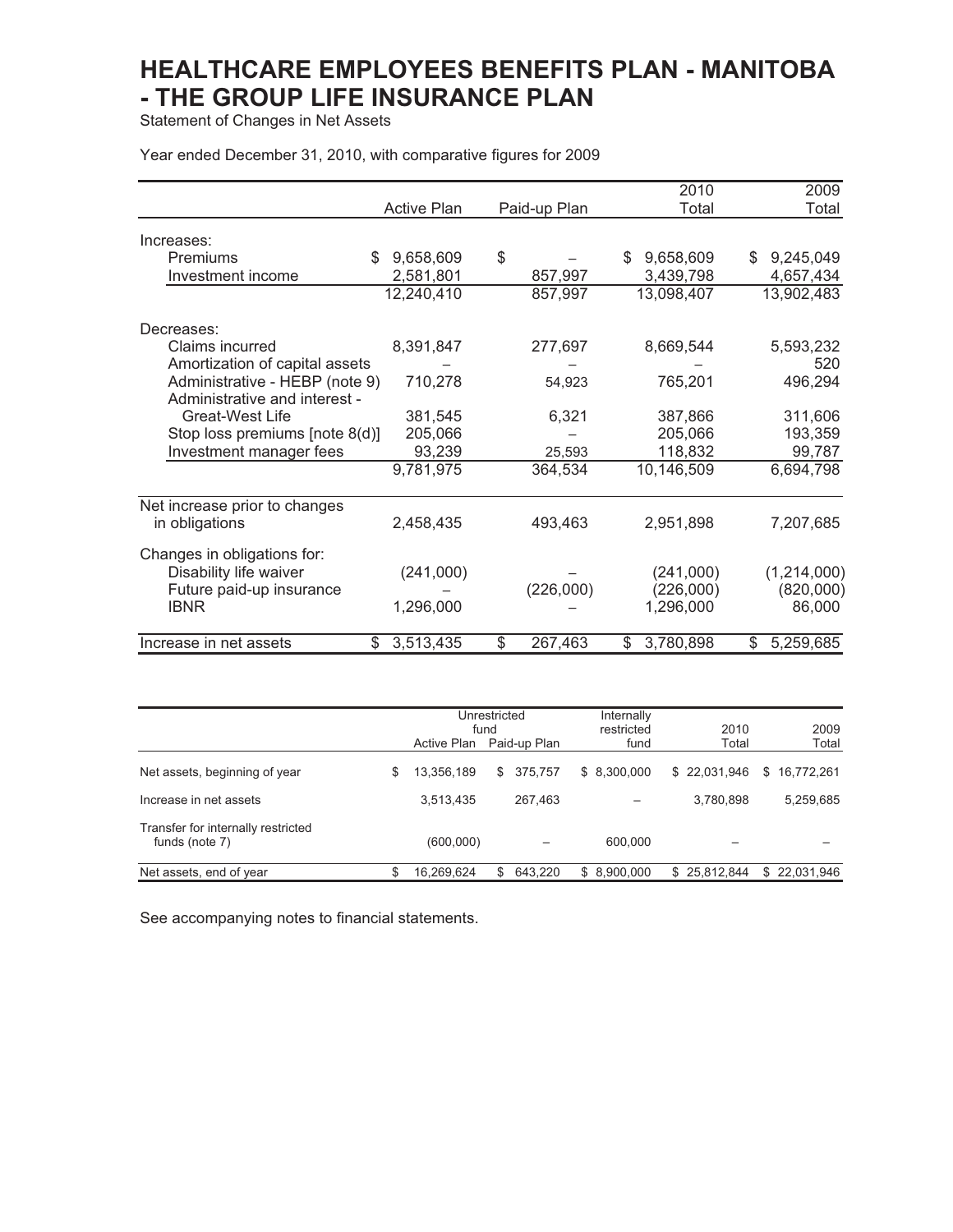Statement of Changes in Net Assets

|                                |                    |               | 2010             | 2009             |
|--------------------------------|--------------------|---------------|------------------|------------------|
|                                | <b>Active Plan</b> | Paid-up Plan  | Total            | Total            |
| Increases:                     |                    |               |                  |                  |
|                                |                    |               |                  |                  |
| \$<br>Premiums                 | 9,658,609          | \$            | 9,658,609<br>\$. | 9,245,049<br>\$. |
| Investment income              | 2,581,801          | 857,997       | 3,439,798        | 4,657,434        |
|                                | 12,240,410         | 857,997       | 13,098,407       | 13,902,483       |
| Decreases:                     |                    |               |                  |                  |
| Claims incurred                | 8,391,847          | 277,697       | 8,669,544        | 5,593,232        |
| Amortization of capital assets |                    |               |                  | 520              |
| Administrative - HEBP (note 9) | 710,278            | 54,923        | 765,201          | 496,294          |
| Administrative and interest -  |                    |               |                  |                  |
|                                |                    |               |                  |                  |
| <b>Great-West Life</b>         | 381,545            | 6,321         | 387,866          | 311,606          |
| Stop loss premiums [note 8(d)] | 205,066            |               | 205,066          | 193,359          |
| Investment manager fees        | 93,239             | 25,593        | 118,832          | 99,787           |
|                                | 9,781,975          | 364,534       | 10,146,509       | 6,694,798        |
| Net increase prior to changes  |                    |               |                  |                  |
| in obligations                 | 2,458,435          | 493,463       | 2,951,898        | 7,207,685        |
| Changes in obligations for:    |                    |               |                  |                  |
| Disability life waiver         | (241,000)          |               | (241,000)        | (1,214,000)      |
| Future paid-up insurance       |                    | (226,000)     | (226,000)        | (820,000)        |
| <b>IBNR</b>                    | 1,296,000          |               | 1,296,000        | 86,000           |
|                                |                    |               |                  |                  |
| \$<br>Increase in net assets   | 3,513,435          | \$<br>267,463 | 3,780,898<br>\$  | 5,259,685<br>\$  |

Year ended December 31, 2010, with comparative figures for 2009

|                                                      | Active Plan      | Unrestricted<br>fund | Paid-up Plan | Internally<br>restricted<br>fund | 2010<br>Total |    | 2009<br>Total |
|------------------------------------------------------|------------------|----------------------|--------------|----------------------------------|---------------|----|---------------|
| Net assets, beginning of year                        | \$<br>13,356,189 | S.                   | 375.757      | \$8,300,000                      | \$22.031.946  | S. | 16,772,261    |
| Increase in net assets                               | 3,513,435        |                      | 267,463      |                                  | 3,780,898     |    | 5,259,685     |
| Transfer for internally restricted<br>funds (note 7) | (600,000)        |                      |              | 600,000                          |               |    |               |
| Net assets, end of year                              | 16,269,624       | S                    | 643.220      | \$8,900,000                      | \$ 25,812,844 |    | \$22,031,946  |

See accompanying notes to financial statements.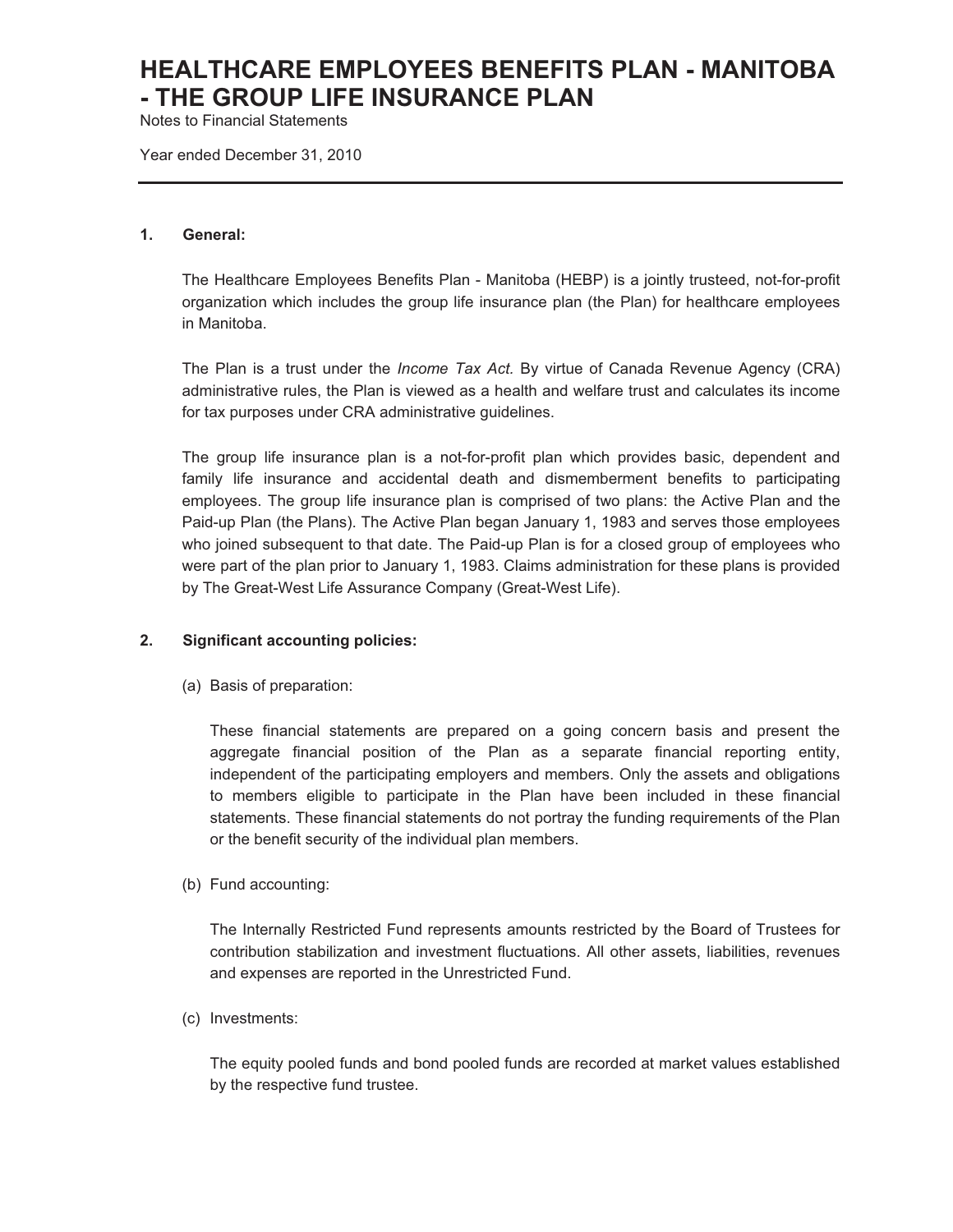Notes to Financial Statements

Year ended December 31, 2010

#### **1. General:**

The Healthcare Employees Benefits Plan - Manitoba (HEBP) is a jointly trusteed, not-for-profit organization which includes the group life insurance plan (the Plan) for healthcare employees in Manitoba.

The Plan is a trust under the *Income Tax Act.* By virtue of Canada Revenue Agency (CRA) administrative rules, the Plan is viewed as a health and welfare trust and calculates its income for tax purposes under CRA administrative guidelines.

The group life insurance plan is a not-for-profit plan which provides basic, dependent and family life insurance and accidental death and dismemberment benefits to participating employees. The group life insurance plan is comprised of two plans: the Active Plan and the Paid-up Plan (the Plans). The Active Plan began January 1, 1983 and serves those employees who joined subsequent to that date. The Paid-up Plan is for a closed group of employees who were part of the plan prior to January 1, 1983. Claims administration for these plans is provided by The Great-West Life Assurance Company (Great-West Life).

### **2. Significant accounting policies:**

(a) Basis of preparation:

These financial statements are prepared on a going concern basis and present the aggregate financial position of the Plan as a separate financial reporting entity, independent of the participating employers and members. Only the assets and obligations to members eligible to participate in the Plan have been included in these financial statements. These financial statements do not portray the funding requirements of the Plan or the benefit security of the individual plan members.

(b) Fund accounting:

The Internally Restricted Fund represents amounts restricted by the Board of Trustees for contribution stabilization and investment fluctuations. All other assets, liabilities, revenues and expenses are reported in the Unrestricted Fund.

(c) Investments:

The equity pooled funds and bond pooled funds are recorded at market values established by the respective fund trustee.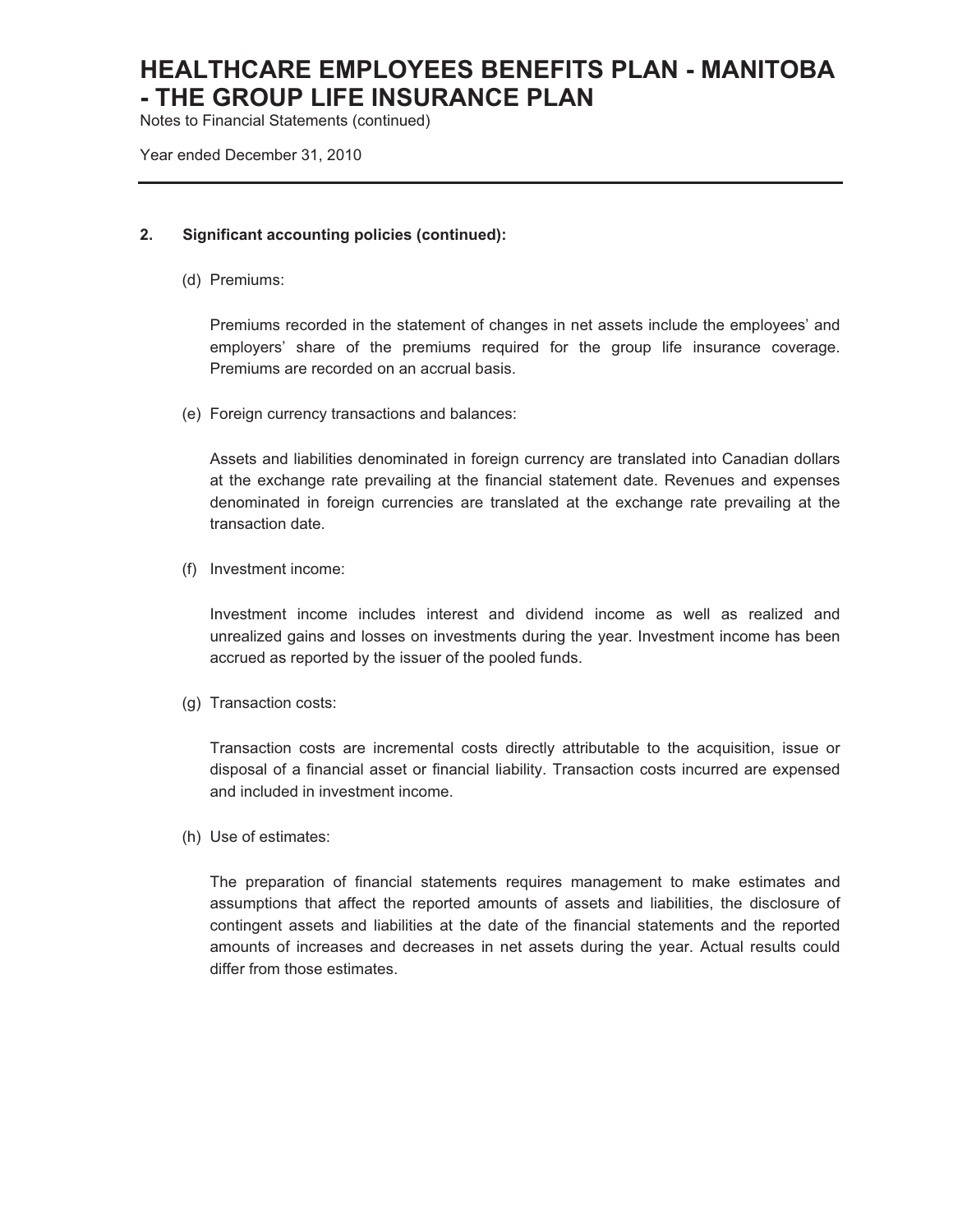Notes to Financial Statements (continued)

Year ended December 31, 2010

### **2. Significant accounting policies (continued):**

(d) Premiums:

Premiums recorded in the statement of changes in net assets include the employees' and employers' share of the premiums required for the group life insurance coverage. Premiums are recorded on an accrual basis.

(e) Foreign currency transactions and balances:

Assets and liabilities denominated in foreign currency are translated into Canadian dollars at the exchange rate prevailing at the financial statement date. Revenues and expenses denominated in foreign currencies are translated at the exchange rate prevailing at the transaction date.

(f) Investment income:

Investment income includes interest and dividend income as well as realized and unrealized gains and losses on investments during the year. Investment income has been accrued as reported by the issuer of the pooled funds.

(g) Transaction costs:

Transaction costs are incremental costs directly attributable to the acquisition, issue or disposal of a financial asset or financial liability. Transaction costs incurred are expensed and included in investment income.

(h) Use of estimates:

The preparation of financial statements requires management to make estimates and assumptions that affect the reported amounts of assets and liabilities, the disclosure of contingent assets and liabilities at the date of the financial statements and the reported amounts of increases and decreases in net assets during the year. Actual results could differ from those estimates.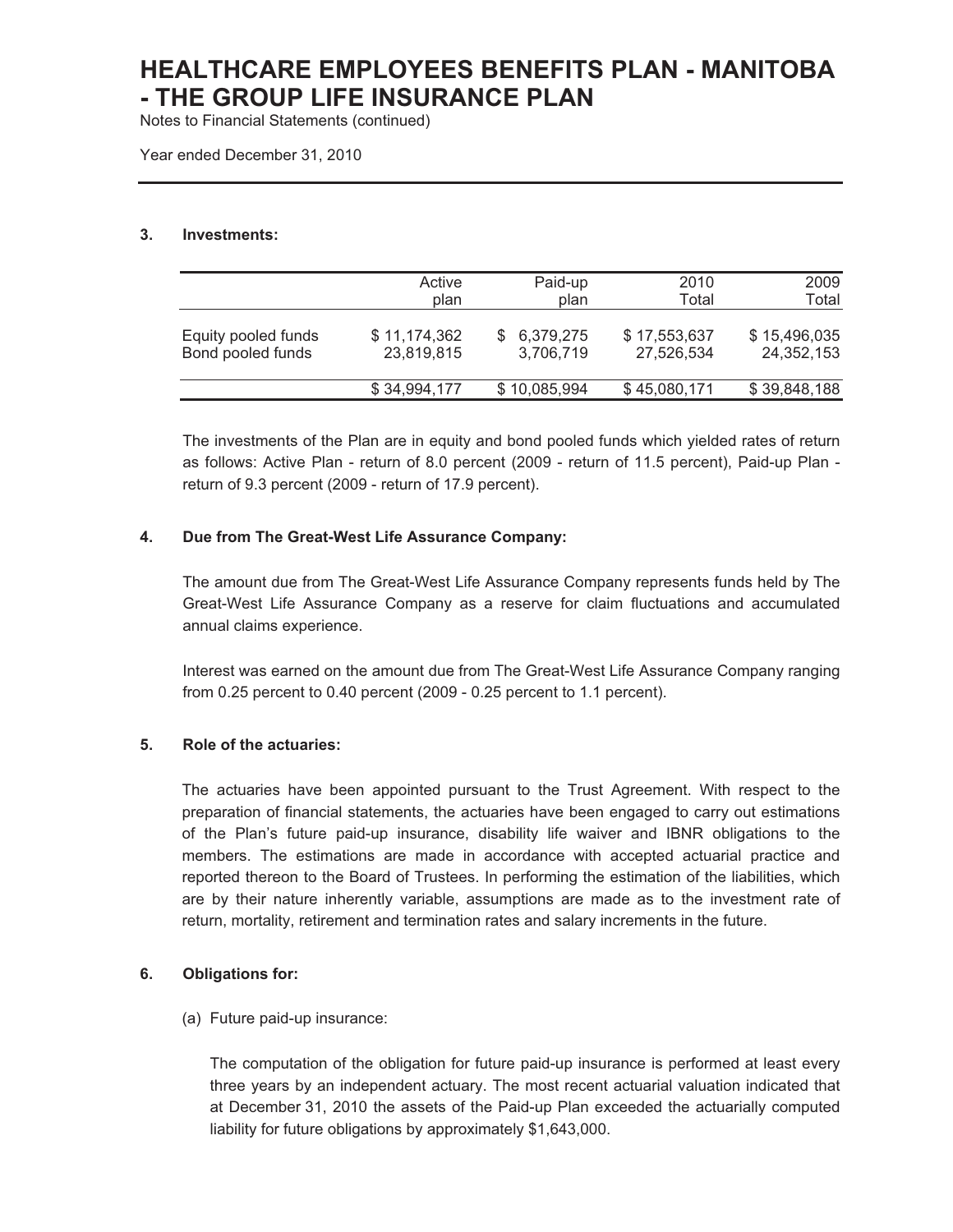Notes to Financial Statements (continued)

Year ended December 31, 2010

### **3. Investments:**

|                     | Active       | Paid-up      | 2010         | 2009         |
|---------------------|--------------|--------------|--------------|--------------|
|                     | plan         | plan         | Total        | Total        |
| Equity pooled funds | \$11,174,362 | 6,379,275    | \$17,553,637 | \$15,496,035 |
| Bond pooled funds   | 23,819,815   | 3,706,719    | 27,526,534   | 24,352,153   |
|                     | \$34.994.177 | \$10,085,994 | \$45,080,171 | \$39,848,188 |

The investments of the Plan are in equity and bond pooled funds which yielded rates of return as follows: Active Plan - return of 8.0 percent (2009 - return of 11.5 percent), Paid-up Plan return of 9.3 percent (2009 - return of 17.9 percent).

### **4. Due from The Great-West Life Assurance Company:**

The amount due from The Great-West Life Assurance Company represents funds held by The Great-West Life Assurance Company as a reserve for claim fluctuations and accumulated annual claims experience.

Interest was earned on the amount due from The Great-West Life Assurance Company ranging from 0.25 percent to 0.40 percent (2009 - 0.25 percent to 1.1 percent).

### **5. Role of the actuaries:**

The actuaries have been appointed pursuant to the Trust Agreement. With respect to the preparation of financial statements, the actuaries have been engaged to carry out estimations of the Plan's future paid-up insurance, disability life waiver and IBNR obligations to the members. The estimations are made in accordance with accepted actuarial practice and reported thereon to the Board of Trustees. In performing the estimation of the liabilities, which are by their nature inherently variable, assumptions are made as to the investment rate of return, mortality, retirement and termination rates and salary increments in the future.

### **6. Obligations for:**

(a) Future paid-up insurance:

The computation of the obligation for future paid-up insurance is performed at least every three years by an independent actuary. The most recent actuarial valuation indicated that at December 31, 2010 the assets of the Paid-up Plan exceeded the actuarially computed liability for future obligations by approximately \$1,643,000.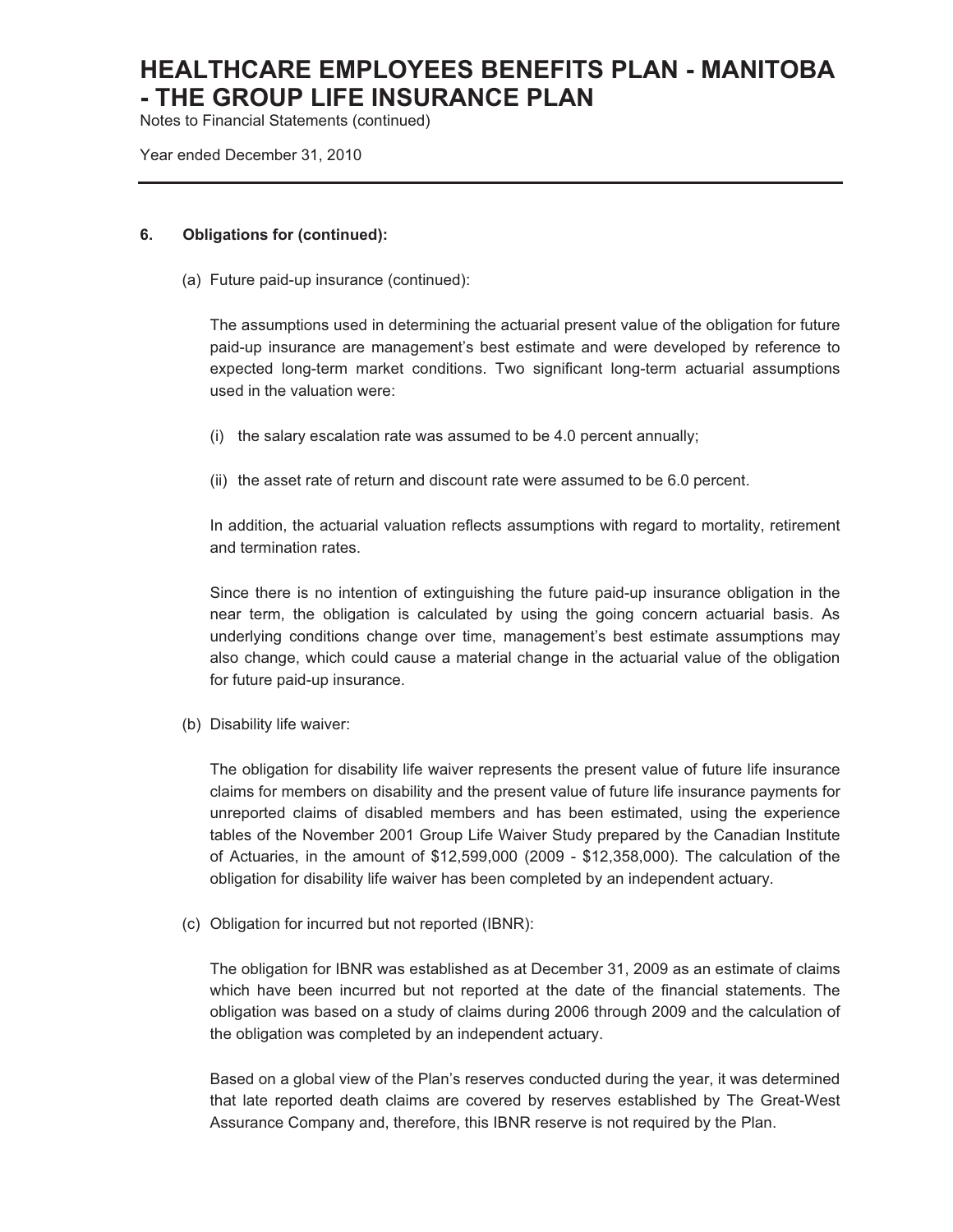Notes to Financial Statements (continued)

Year ended December 31, 2010

#### **6. Obligations for (continued):**

(a) Future paid-up insurance (continued):

The assumptions used in determining the actuarial present value of the obligation for future paid-up insurance are management's best estimate and were developed by reference to expected long-term market conditions. Two significant long-term actuarial assumptions used in the valuation were:

- (i) the salary escalation rate was assumed to be 4.0 percent annually;
- (ii) the asset rate of return and discount rate were assumed to be 6.0 percent.

In addition, the actuarial valuation reflects assumptions with regard to mortality, retirement and termination rates.

Since there is no intention of extinguishing the future paid-up insurance obligation in the near term, the obligation is calculated by using the going concern actuarial basis. As underlying conditions change over time, management's best estimate assumptions may also change, which could cause a material change in the actuarial value of the obligation for future paid-up insurance.

(b) Disability life waiver:

The obligation for disability life waiver represents the present value of future life insurance claims for members on disability and the present value of future life insurance payments for unreported claims of disabled members and has been estimated, using the experience tables of the November 2001 Group Life Waiver Study prepared by the Canadian Institute of Actuaries, in the amount of \$12,599,000 (2009 - \$12,358,000). The calculation of the obligation for disability life waiver has been completed by an independent actuary.

(c) Obligation for incurred but not reported (IBNR):

The obligation for IBNR was established as at December 31, 2009 as an estimate of claims which have been incurred but not reported at the date of the financial statements. The obligation was based on a study of claims during 2006 through 2009 and the calculation of the obligation was completed by an independent actuary.

Based on a global view of the Plan's reserves conducted during the year, it was determined that late reported death claims are covered by reserves established by The Great-West Assurance Company and, therefore, this IBNR reserve is not required by the Plan.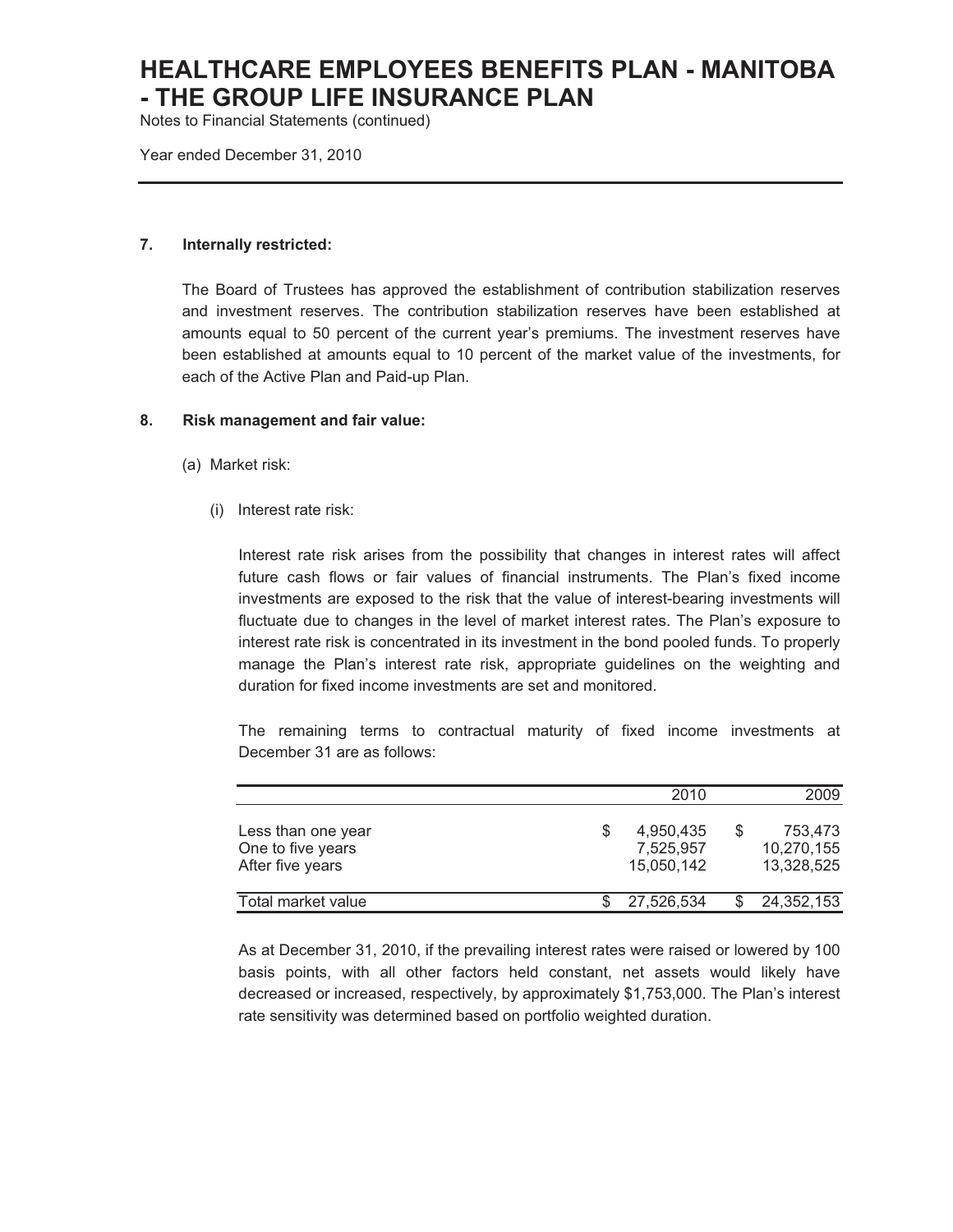Notes to Financial Statements (continued)

Year ended December 31, 2010

#### **7. Internally restricted:**

The Board of Trustees has approved the establishment of contribution stabilization reserves and investment reserves. The contribution stabilization reserves have been established at amounts equal to 50 percent of the current year's premiums. The investment reserves have been established at amounts equal to 10 percent of the market value of the investments, for each of the Active Plan and Paid-up Plan.

#### **8. Risk management and fair value:**

- (a) Market risk:
	- (i) Interest rate risk:

Interest rate risk arises from the possibility that changes in interest rates will affect future cash flows or fair values of financial instruments. The Plan's fixed income investments are exposed to the risk that the value of interest-bearing investments will fluctuate due to changes in the level of market interest rates. The Plan's exposure to interest rate risk is concentrated in its investment in the bond pooled funds. To properly manage the Plan's interest rate risk, appropriate guidelines on the weighting and duration for fixed income investments are set and monitored.

The remaining terms to contractual maturity of fixed income investments at December 31 are as follows:

|                                                             | 2010                                 |   | 2009                                |
|-------------------------------------------------------------|--------------------------------------|---|-------------------------------------|
|                                                             |                                      |   |                                     |
| Less than one year<br>One to five years<br>After five years | 4,950,435<br>7,525,957<br>15.050.142 | S | 753,473<br>10,270,155<br>13,328,525 |
| Total market value                                          | 27,526,534                           |   | 24,352,153                          |

As at December 31, 2010, if the prevailing interest rates were raised or lowered by 100 basis points, with all other factors held constant, net assets would likely have decreased or increased, respectively, by approximately \$1,753,000. The Plan's interest rate sensitivity was determined based on portfolio weighted duration.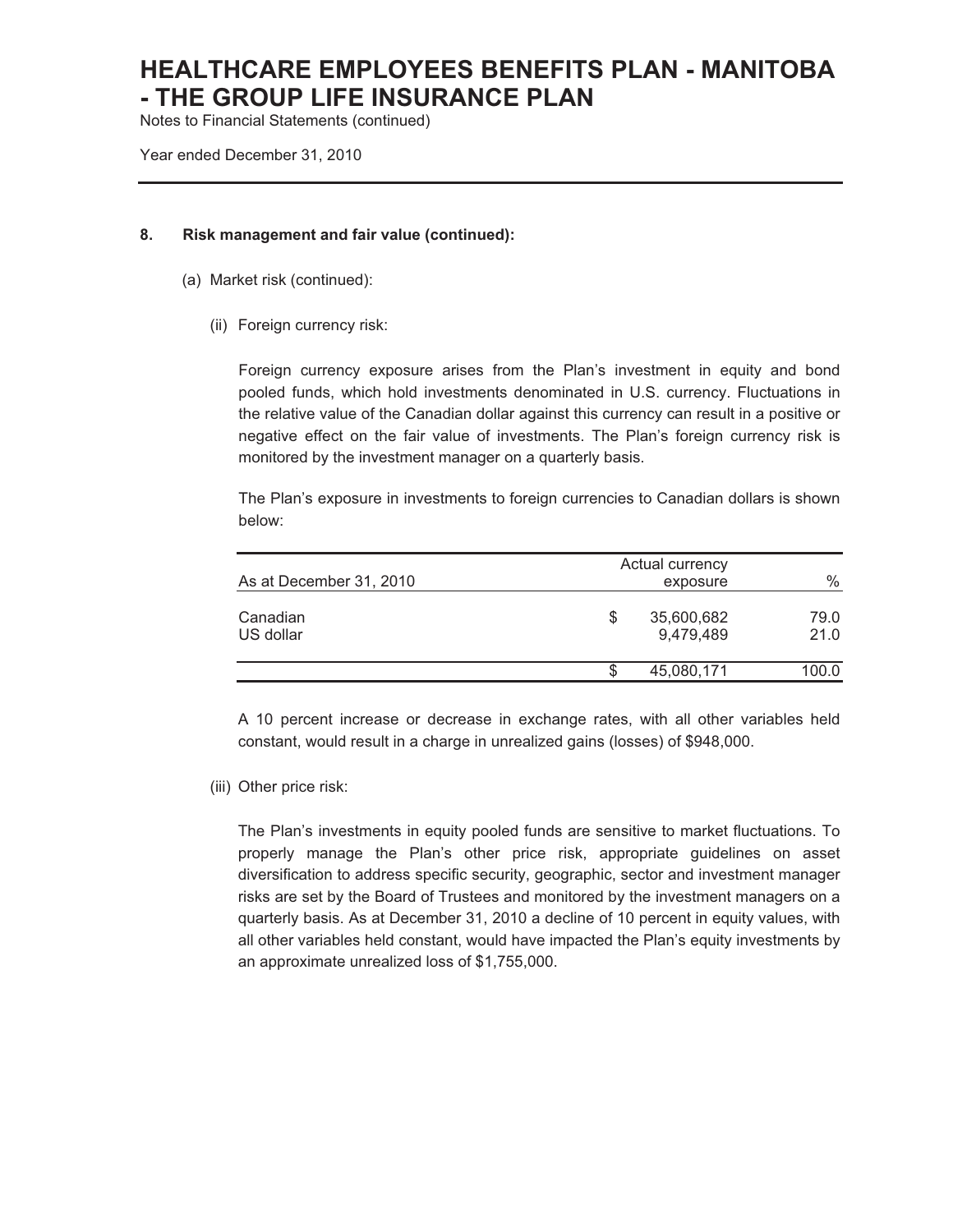Notes to Financial Statements (continued)

Year ended December 31, 2010

### **8. Risk management and fair value (continued):**

- (a) Market risk (continued):
	- (ii) Foreign currency risk:

Foreign currency exposure arises from the Plan's investment in equity and bond pooled funds, which hold investments denominated in U.S. currency. Fluctuations in the relative value of the Canadian dollar against this currency can result in a positive or negative effect on the fair value of investments. The Plan's foreign currency risk is monitored by the investment manager on a quarterly basis.

The Plan's exposure in investments to foreign currencies to Canadian dollars is shown below:

| As at December 31, 2010 | Actual currency | $\%$                    |              |
|-------------------------|-----------------|-------------------------|--------------|
| Canadian<br>US dollar   | S               | 35,600,682<br>9,479,489 | 79.0<br>21.0 |
|                         | S               | 45,080,171              | 100.0        |

A 10 percent increase or decrease in exchange rates, with all other variables held constant, would result in a charge in unrealized gains (losses) of \$948,000.

(iii) Other price risk:

The Plan's investments in equity pooled funds are sensitive to market fluctuations. To properly manage the Plan's other price risk, appropriate guidelines on asset diversification to address specific security, geographic, sector and investment manager risks are set by the Board of Trustees and monitored by the investment managers on a quarterly basis. As at December 31, 2010 a decline of 10 percent in equity values, with all other variables held constant, would have impacted the Plan's equity investments by an approximate unrealized loss of \$1,755,000.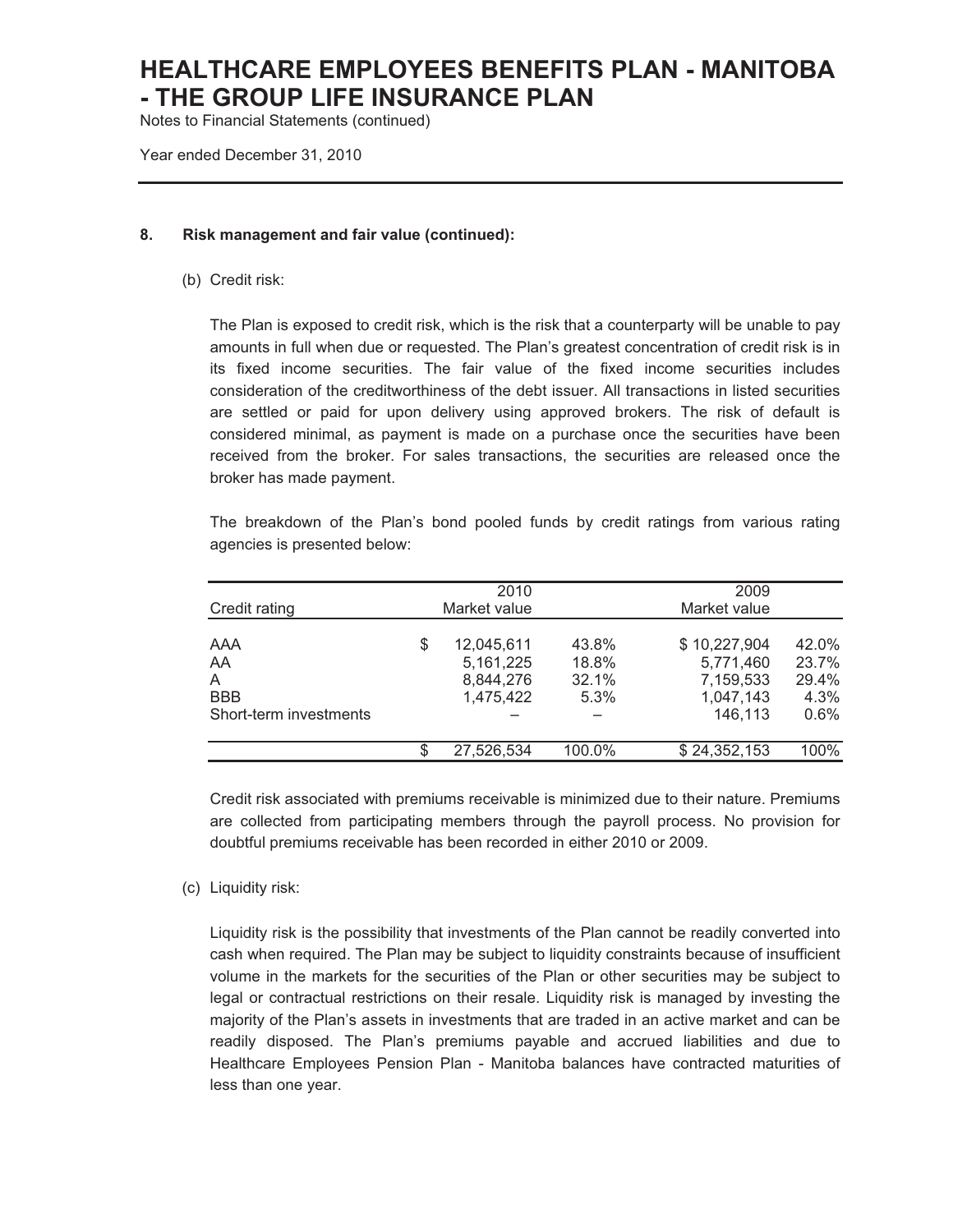Notes to Financial Statements (continued)

Year ended December 31, 2010

#### **8. Risk management and fair value (continued):**

(b) Credit risk:

The Plan is exposed to credit risk, which is the risk that a counterparty will be unable to pay amounts in full when due or requested. The Plan's greatest concentration of credit risk is in its fixed income securities. The fair value of the fixed income securities includes consideration of the creditworthiness of the debt issuer. All transactions in listed securities are settled or paid for upon delivery using approved brokers. The risk of default is considered minimal, as payment is made on a purchase once the securities have been received from the broker. For sales transactions, the securities are released once the broker has made payment.

The breakdown of the Plan's bond pooled funds by credit ratings from various rating agencies is presented below:

| 2010                                      |    |                         |                | 2009                              |                       |
|-------------------------------------------|----|-------------------------|----------------|-----------------------------------|-----------------------|
| Credit rating                             |    | Market value            |                | Market value                      |                       |
| AAA<br>AA                                 | \$ | 12,045,611<br>5,161,225 | 43.8%<br>18.8% | \$10,227,904<br>5,771,460         | 42.0%<br>23.7%        |
| A<br><b>BBB</b><br>Short-term investments |    | 8,844,276<br>1,475,422  | 32.1%<br>5.3%  | 7,159,533<br>1,047,143<br>146,113 | 29.4%<br>4.3%<br>0.6% |
|                                           |    | 27,526,534              | 100.0%         | \$24,352,153                      | 100%                  |

Credit risk associated with premiums receivable is minimized due to their nature. Premiums are collected from participating members through the payroll process. No provision for doubtful premiums receivable has been recorded in either 2010 or 2009.

(c) Liquidity risk:

Liquidity risk is the possibility that investments of the Plan cannot be readily converted into cash when required. The Plan may be subject to liquidity constraints because of insufficient volume in the markets for the securities of the Plan or other securities may be subject to legal or contractual restrictions on their resale. Liquidity risk is managed by investing the majority of the Plan's assets in investments that are traded in an active market and can be readily disposed. The Plan's premiums payable and accrued liabilities and due to Healthcare Employees Pension Plan - Manitoba balances have contracted maturities of less than one year.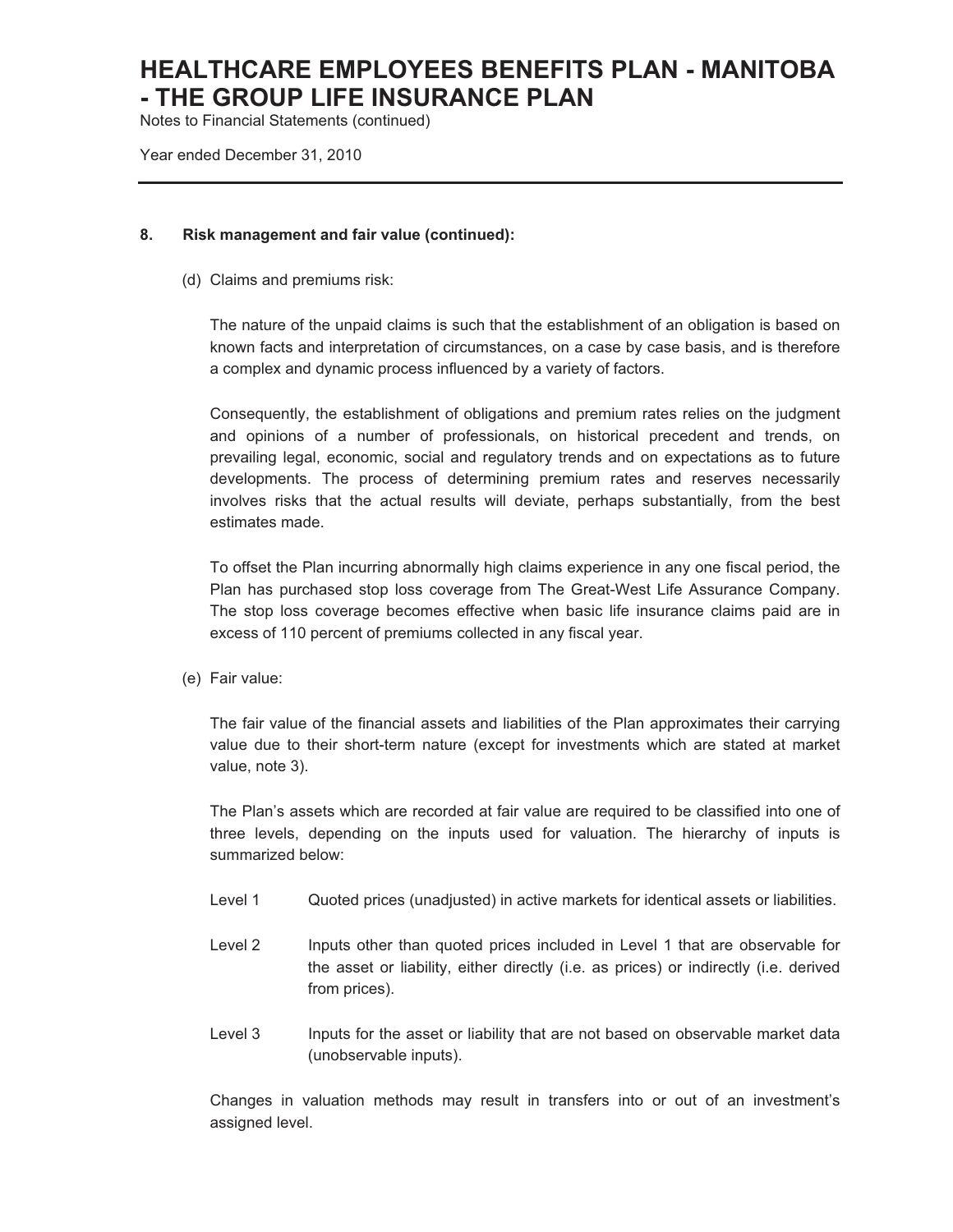Notes to Financial Statements (continued)

Year ended December 31, 2010

#### **8. Risk management and fair value (continued):**

(d) Claims and premiums risk:

The nature of the unpaid claims is such that the establishment of an obligation is based on known facts and interpretation of circumstances, on a case by case basis, and is therefore a complex and dynamic process influenced by a variety of factors.

Consequently, the establishment of obligations and premium rates relies on the judgment and opinions of a number of professionals, on historical precedent and trends, on prevailing legal, economic, social and regulatory trends and on expectations as to future developments. The process of determining premium rates and reserves necessarily involves risks that the actual results will deviate, perhaps substantially, from the best estimates made.

To offset the Plan incurring abnormally high claims experience in any one fiscal period, the Plan has purchased stop loss coverage from The Great-West Life Assurance Company. The stop loss coverage becomes effective when basic life insurance claims paid are in excess of 110 percent of premiums collected in any fiscal year.

(e) Fair value:

The fair value of the financial assets and liabilities of the Plan approximates their carrying value due to their short-term nature (except for investments which are stated at market value, note 3).

The Plan's assets which are recorded at fair value are required to be classified into one of three levels, depending on the inputs used for valuation. The hierarchy of inputs is summarized below:

- Level 1 Quoted prices (unadjusted) in active markets for identical assets or liabilities.
- Level 2 Inputs other than quoted prices included in Level 1 that are observable for the asset or liability, either directly (i.e. as prices) or indirectly (i.e. derived from prices).
- Level 3 Inputs for the asset or liability that are not based on observable market data (unobservable inputs).

Changes in valuation methods may result in transfers into or out of an investment's assigned level.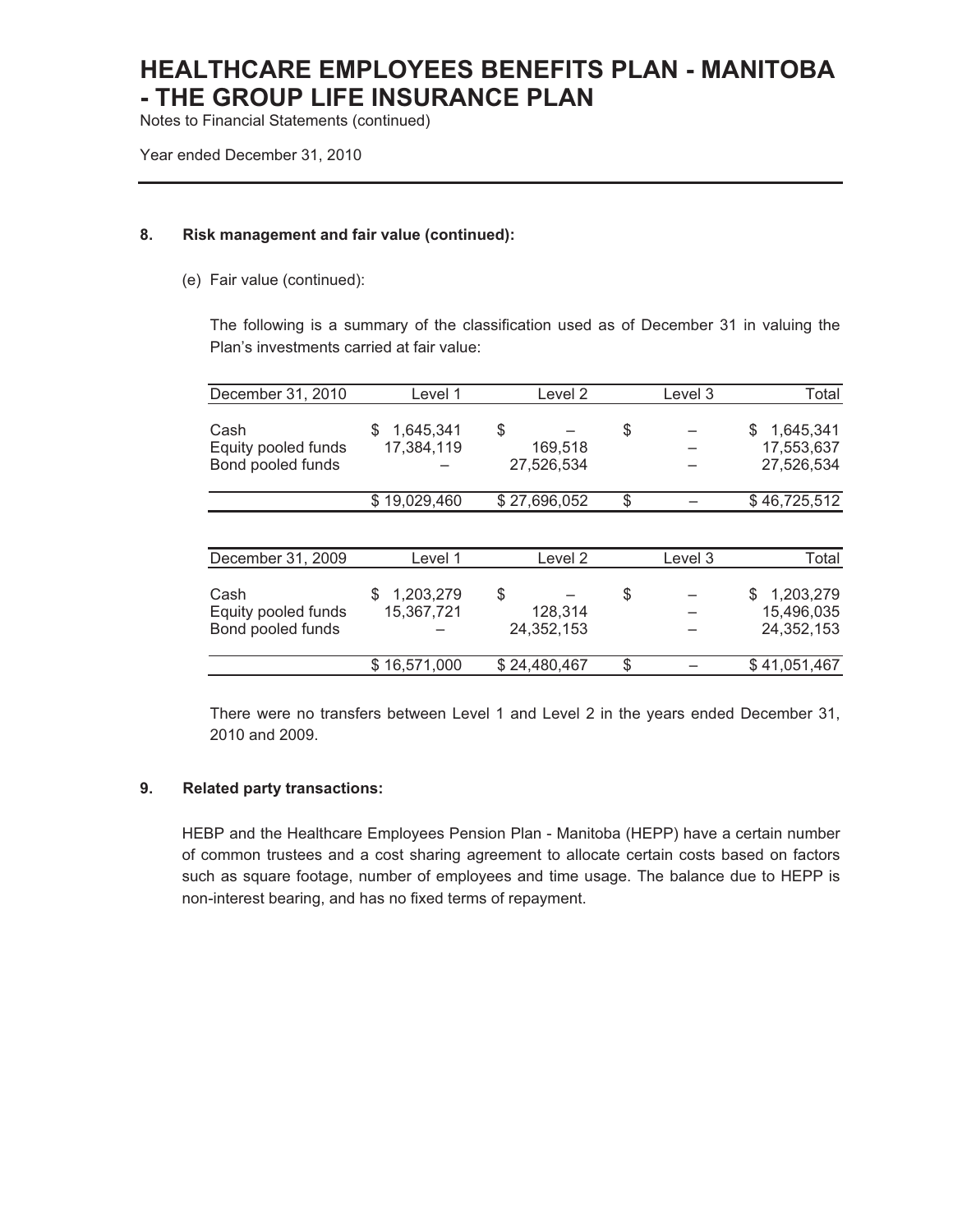Notes to Financial Statements (continued)

Year ended December 31, 2010

#### **8. Risk management and fair value (continued):**

(e) Fair value (continued):

The following is a summary of the classification used as of December 31 in valuing the Plan's investments carried at fair value:

| December 31, 2010                                | Level 1                      | Level 2                     | Level 3 | Total                                 |
|--------------------------------------------------|------------------------------|-----------------------------|---------|---------------------------------------|
| Cash<br>Equity pooled funds<br>Bond pooled funds | 1,645,341<br>S<br>17,384,119 | \$<br>169.518<br>27,526,534 | \$      | 1,645,341<br>17,553,637<br>27,526,534 |
|                                                  | \$19,029,460                 | \$27,696,052                | \$      | \$46,725,512                          |
|                                                  |                              |                             |         |                                       |
| December 31, 2009                                | Level 1                      | Level 2                     | Level 3 | Total                                 |
| Cash<br>Equity pooled funds<br>Bond pooled funds | 1,203,279<br>S<br>15,367,721 | \$<br>128,314<br>24,352,153 | \$      | 1,203,279<br>15,496,035<br>24,352,153 |
|                                                  | \$16,571,000                 | \$24,480,467                | \$      | \$41,051,467                          |

There were no transfers between Level 1 and Level 2 in the years ended December 31, 2010 and 2009.

### **9. Related party transactions:**

HEBP and the Healthcare Employees Pension Plan - Manitoba (HEPP) have a certain number of common trustees and a cost sharing agreement to allocate certain costs based on factors such as square footage, number of employees and time usage. The balance due to HEPP is non-interest bearing, and has no fixed terms of repayment.